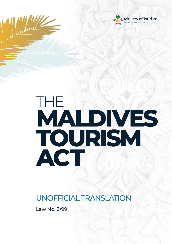



# THE MALDIVES TOURISM ACT

**UNOFFICIAL TRANSLATION** 

Law No. 2/99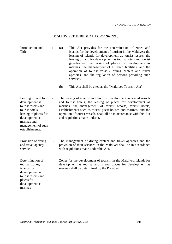### **MALDIVES TOURISM ACT (Law No. 2/99)**

| Introduction and<br>$\perp$ .<br>Title |  | (a) | This Act provides for the determination of zones and<br>islands for the development of tourism in the Maldives: the<br>leasing of islands for development as tourist resorts, the<br>leasing of land for development as tourist hotels and tourist<br>guesthouses, the leasing of places for development as<br>marinas, the management of all such facilities; and the<br>operation of tourist vessels, diving centers and travel<br>agencies, and the regulation of persons providing such<br>services. |
|----------------------------------------|--|-----|----------------------------------------------------------------------------------------------------------------------------------------------------------------------------------------------------------------------------------------------------------------------------------------------------------------------------------------------------------------------------------------------------------------------------------------------------------------------------------------------------------|
|----------------------------------------|--|-----|----------------------------------------------------------------------------------------------------------------------------------------------------------------------------------------------------------------------------------------------------------------------------------------------------------------------------------------------------------------------------------------------------------------------------------------------------------------------------------------------------------|

(b) This Act shall be cited as the "Maldives Tourism Act"

Leasing of land for development as tourist resorts and tourist hotels, leasing of places for development as marinas and 2. The leasing of islands and land for development as tourist resorts and tourist hotels, the leasing of places for development as marinas, the management of tourist resorts, tourist hotels, establishments such as tourist guest houses and marinas; and the operation of tourist vessels, shall all be in accordance with this Act and regulations made under it.

Provision of diving and travel agency 3. The management of diving centers and travel agencies and the provision of their services in the Maldives shall be in accordance with regulations made under this Act.

> 4. Zones for the development of tourism in the Maldives, islands for development as tourist resorts and places for development as marinas shall be determined by the President.

Determination of tourism zones, islands for development as tourist resorts and places for development as marinas

services

management of such establishments.

*Unofficial Translation-Maldives Tourism Act Law No. 2/99* 1/15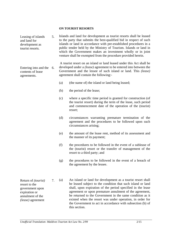### **ON TOURIST RESORTS**

Leasing of islands and land for development as tourist resorts. 5. Islands and land for development as tourist resorts shall be leased to the party that submits the best-qualified bid in respect of such islands or land in accordance with pre-established procedures in a public tender held by the Ministry of Tourism. Islands or land in which the Government makes an investment wholly or in joint venture shall be exempted from the procedure provided herein.

Entering into and the 6. contents of lease A tourist resort on an island or land leased under this Act shall be developed under a *(lease)* agreement to be entered into between the Government and the lessee of such island or land. This *(lease)* agreement shall contain the following:-

- (a) (the name of) the island or land being leased;
- (b) the period of the lease;

agreements.

- (c) where a specific time period is granted for construction (of the tourist resort) during the term of the lease, such period and commencement date of the operation of the (tourist) resort;
- (d) circumstances warranting premature termination of the agreement and the procedures to be followed upon such circumstances arising;
- (e) the amount of the lease rent, method of its assessment and the manner of its payment;
- (f) the procedures to be followed in the event of a sublease of the (tourist) resort or the transfer of management of the resort to a third party; and
- (g) the procedures to be followed in the event of a breach of the agreement by the lessee.

Return of *(tourist)* resort to the government upon expiration or annulment of the *(lease)* agreement 7. (a) An island or land for development as a tourist resort shall be leased subject to the condition that such island or land shall, upon expiration of the period specified in the lease agreement or upon premature annulment of the agreement, be returned to the Government in the same condition as it existed when the resort was under operation, in order for the Government to act in accordance with subsection (b) of this section.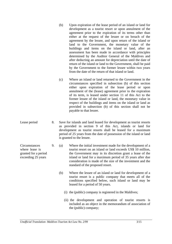|                                                                               |    |     | development as a tourist resort or upon annulment of the<br>agreement prior to the expiration of its terms other than<br>either at the request of the lessee or on breach of the<br>agreement by the lessee, and upon return of the island or<br>land to the Government, the monetary value of the<br>buildings and items on the island or land, after an<br>assessment has been made in accordance with principles<br>determined by the Auditor General of the Maldives and<br>after deducting an amount for depreciation until the date of<br>return of the island or land to the Government, shall be paid<br>by the Government to the former lessee within two years<br>from the date of the return of that island or land. |
|-------------------------------------------------------------------------------|----|-----|---------------------------------------------------------------------------------------------------------------------------------------------------------------------------------------------------------------------------------------------------------------------------------------------------------------------------------------------------------------------------------------------------------------------------------------------------------------------------------------------------------------------------------------------------------------------------------------------------------------------------------------------------------------------------------------------------------------------------------|
|                                                                               |    | (c) | Where an island or land returned to the Government in the<br>circumstances specified in subsection (b) of this section<br>either upon expiration of the lease period or upon<br>annulment of the (lease) agreement prior to the expiration<br>of its term, is leased under section 11 of this Act to the<br>former lessee of the island or land, the monetary value in<br>respect of the buildings and items on the island or land as<br>provided in subsection (b) of this section shall not be<br>payable to that lessee.                                                                                                                                                                                                     |
| Lease period                                                                  | 8. |     | Save for islands and land leased for development as tourist resorts<br>as provided in section 9 of this Act, islands or land for<br>development as tourist resorts shall be leased for a maximum<br>period of 25 years from the date of possession of the island or land<br>is granted to the lessee.                                                                                                                                                                                                                                                                                                                                                                                                                           |
| Circumstances<br>where lease is<br>granted for a period<br>exceeding 25 years | 9. | (a) | Where the initial investment made for the development of a<br>tourist resort on an island or land exceeds US\$ 10 million,<br>the Government may in its discretion grant a lease of the<br>island or land for a maximum period of 35 years after due<br>consideration is made of the size of the investment and the<br>standard of the proposed resort.                                                                                                                                                                                                                                                                                                                                                                         |
|                                                                               |    | (b) | Where the lessee of an island or land for development of a<br>tourist resort is a public company that meets all of the<br>conditions specified below, such island or land may be<br>leased for a period of 50 years.                                                                                                                                                                                                                                                                                                                                                                                                                                                                                                            |
|                                                                               |    |     | (i) the (public) company is registered in the Maldives;                                                                                                                                                                                                                                                                                                                                                                                                                                                                                                                                                                                                                                                                         |

(b) Upon expiration of the lease period of an island or land for

(ii) the development and operation of tourist resorts is included as an object in the memorandum of association of the (public) company;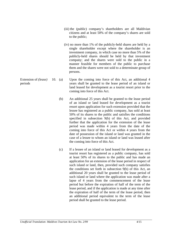- (iii) the (public) company's shareholders are all Maldivian citizens and at least 50% of the company's shares are sold to the public;
- (iv) no more than 1% of the publicly-held shares are held by a single shareholder except where the shareholder is an investment company, in which case no more than 5% of the publicly-held shares should be held by that investment company; and the shares were sold to the public in a manner feasible for members of the public to purchase them and the shares were not sold to a determinate group of persons.
- Extension of *(lease)*  periods  $10.$  (a) Upon the coming into force of this Act, an additional 4 years shall be granted to the lease period of an island or land leased for development as a tourist resort prior to the coming into force of this Act.
	- (b) An additional 25 years shall be granted to the lease period of an island or land leased for development as a tourist resort upon application for such extension provided that the lessee has registered as a public company, has sold at least 50% of its shares to the public and satisfies the conditions specified in subsection 9(b) of this Act, and provided further that the application for the extension of the lease period was made within 4 years from the date of the coming into force of this Act or within 4 years from the date of possession of the island or land was granted in the case of a lessee to whom an island or land was leased after the coming into force of this Act.
	- (c) If a lessee of an island or land leased for development as a tourist resort has registered as a public company, has sold at least 50% of its shares to the public and has made an application for an extension of the lease period in respect of such island or land, then, provided such company satisfies the conditions set forth in subsection 9(b) of this Act, an additional 20 years shall be granted to the lease period of such island or land where the application was made after a lapse of 4 years from the commencement of the lease period but before the expiration of half of the term of the lease period, and if the application is made at any time after the expiration of half of the term of the lease period, then an additional period equivalent to the term of the lease period shall be granted to the lease period.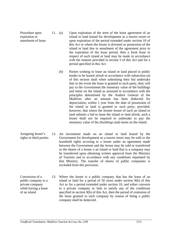Procedure upon expiration or annulment of lease 11. (a)

- Upon expiration of the term of the lease agreement of an island or land leased for development as a tourist resort or upon expiration of the period extended under section 10 of this Act or where the lessee is divested or possession of the island or land due to annulment of the agreement prior to the expiration of the lease period, then a fresh lease in respect of such island or land may be made in accordance with the manner provided in section 5 of this Act and for a period specified in this Act.
- (b) Parties wishing to lease an island or land placed in public tender to be leased afresh in accordance with subsection (a) of this section shall when submitting their bid undertake that in the event the lease is granted to such party, they will pay to the Government the monetary value of the buildings and items on the island as assessed in accordance with the principles determined by the Auditor General of the Maldives after an amount has been deducted for depreciation, within 1 year from the date of possession of the island or land is granted to such party; provided, however, that where the former lessee of such an island or land submits a bid to lease the island or land afresh, such a lessee shall not be required to undertake to pay the monetary value of the *(buildings and)* items on the island.
- Assigning lessee's rights to third parties 12. An investment made on an island or land leased by the Government for development as a tourist resort may be sold or the leasehold rights accruing to a lessee under an agreement made between the Government and the lessee may be sold or transferred or the shares of a lessee o an island or land that is a company may be transferred upon obtaining written approval from the Ministry of Tourism and in accordance with any conditions stipulated by that Ministry. The transfer of shares of public companies is excluded from this provision.
- Conversion of a public company to a private company while having a lease of an island 13. Where the lessee is a public company that has the lease of an island or land for a period of 50 years under section 9(b) of this Act or for a period extended under section 10, and either converts to a private company or fails to satisfy any of the conditions specified in section 9(b) of this Act, then the period of extension of the lease granted to such company by reason of being a public company shall be deducted.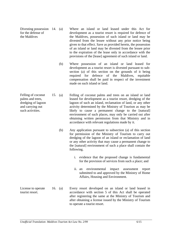Divesting possession 14. for the defense of the Maldives

- Where an island or land leased under this Act for development as a tourist resort is required for defence of the Maldives, possession of such island or land may be divested from the lessee without any prior notice being given to that effect. Save as provided herein, the possession of an island or land may be divested from the lessee prior to the expiration of the lease only in accordance with the provisions of the [lease] agreement of such island or land.
- (b) Where possession of an island or land leased for development as a tourist resort is divested pursuant to subsection (a) of this section on the grounds of it being required for defence of the Maldives, equitable compensation shall be paid in respect of the investment made on such island or land.
- Felling of coconut 15. Felling of coconut palms and trees on an island or land leased for development as a tourist resort, dredging of the lagoon of such an island, reclamation of land, or any other activity determined by the Ministry of Tourism as may be likely to cause a permanent change to the [natural] environment of such places, may only be carried out after obtaining written permission from that Ministry and in accordance with relevant regulations made by it.
	- (b) Any application pursuant to subsection (a) of this section for permission of the Ministry of Tourism to carry out dredging of the lagoon of an island or reclamation of land or any other activity that may cause a permanent change to the [natural] environment of such a place shall contain the following.
		- i. evidence that the proposed change is fundamental for the provision of services from such a place; and
		- ii. an environmental impact assessment report submitted to and approved by the Ministry of Home Affairs, Housing and Environment.
- License to operate tourist resort. 16. (a) Every resort developed on an island or land leased in accordance with section 5 of this Act shall be operated after registering the same at the Ministry of Tourism and after obtaining a license issued by the Ministry of Tourism to operate a tourist resort.

palms and trees, dredging of lagoon and carrying out such activities.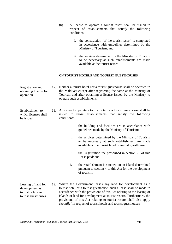- (b) A license to operate a tourist resort shall be issued in respect of establishments that satisfy the following conditions:
	- i. the construction [of the tourist resort] is completed in accordance with guidelines determined by the Ministry of Tourism; and
	- ii. the services determined by the Ministry of Tourism to be necessary at such establishments are made available at the tourist resort.

### **ON TOURIST HOTELS AND TOURIST GUESTHOUSES**

- Registration and obtaining license for operation 17. Neither a tourist hotel nor a tourist guesthouse shall be operated in the Maldives except after registering the same at the Ministry of Tourism and after obtaining a license issued by the Ministry to operate such establishments.
- Establishment to which licenses shall be issued 18. A license to operate a tourist hotel or a tourist guesthouse shall be issued to those establishments that satisfy the following conditions:
	- i. the building and facilities are in accordance with guidelines made by the Ministry of Tourism;
	- ii. the services determined by the Ministry of Tourism to be necessary at such establishment are made available at the tourist hotel or tourist guesthouse.
	- iii. the registration fee prescribed in section 21 of this Act is paid; and
	- iv. the establishment is situated on an island determined pursuant to section 4 of this Act for the development of tourism.
- Leasing of land for tourist hotels and tourist guesthouses 19. Where the Government leases any land for development as a tourist hotel or a tourist guesthouse, such a lease shall be made in accordance with the provisions of this Act relating to the leasing of islands or land for development as tourist resorts. Furthermore, the provisions of this Act relating to tourist resorts shall also apply *[equally]* in respect of tourist hotels and tourist guesthouses.

development as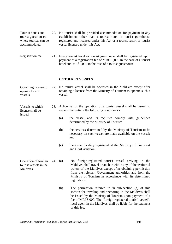| Tourist hotels and    | 20. No tourist shall be provided accommodation for payment in any     |
|-----------------------|-----------------------------------------------------------------------|
| tourist guesthouses   | establishment other than a tourist hotel or tourist guesthouse        |
| where tourists can be | registered and licensed under this Act or a tourist resort or tourist |
| accommodated          | vessel licensed under this Act.                                       |

Registration fee 21. Every tourist hotel or tourist guesthouse shall be registered upon payment of a registration fee of MRf 10,000 in the case of a tourist hotel and MRf 5,000 in the case of a tourist guesthouse.

### **ON TOURIST VESSELS**

| Obtaining license to | 22. No tourist vessel shall be operated in the Maldives except after |
|----------------------|----------------------------------------------------------------------|
| operate tourist      | obtaining a license from the Ministry of Tourism to operate such a   |
| vessels              | vessel.                                                              |

- Vessels to which license shall be 23. A license for the operation of a tourist vessel shall be issued to vessels that satisfy the following conditions:-
	- (a) the vessel and its facilities comply with guidelines determined by the Ministry of Tourism
	- (b) the services determined by the Ministry of Tourism to be necessary on such vessel are made available on the vessel; and
	- (c) the vessel is duly registered at the Ministry of Transport and Civil Aviation.
- Operation of foreign tourist vessels in the Maldives  $24.$  (a) No foreign-registered tourist vessel arriving in the Maldives shall travel or anchor within any of the territorial waters of the Maldives except after obtaining permission from the relevant Government authorities and from the Ministry of Tourism in accordance with its determined regulations.
	- (b) The permission referred to in sub-section (a) of this section for traveling and anchoring in the Maldives shall be issued by the Ministry of Tourism upon payment of a fee of MRf 5,000. The [foreign-registered tourist] vessel's local agent in the Maldives shall be liable for the payment of this fee.

issued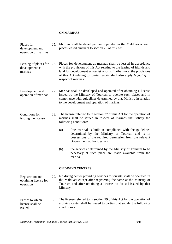## **ON MARINAS**

| Places for<br>development and<br>operation of marinas | 25. | Marinas shall be developed and operated in the Maldives at such<br>places leased pursuant to section 26 of this Act.                                                                                                                                                                                                     |
|-------------------------------------------------------|-----|--------------------------------------------------------------------------------------------------------------------------------------------------------------------------------------------------------------------------------------------------------------------------------------------------------------------------|
| Leasing of places for<br>development as<br>marinas    | 26. | Places for development as marinas shall be leased in accordance<br>with the provisions of this Act relating to the leasing of islands and<br>land for development as tourist resorts. Furthermore, the provisions<br>of this Act relating to tourist resorts shall also apply <i>[equally]</i> in<br>respect of marinas. |
| Development and<br>operation of marinas               | 27. | Marinas shall be developed and operated after obtaining a license<br>issued by the Ministry of Tourism to operate such places and in<br>compliance with guidelines determined by that Ministry in relation<br>to the development and operation of marinas.                                                               |

- Conditions for issuing the license 28. The license referred to in section 27 of this Act for the operation of marinas shall be issued in respect of marinas that satisfy the following conditions:-
	- (a) [the marina] is built in compliance with the guidelines determined by the Ministry of Tourism and is in possessions of the required permission from the relevant Government authorities; and
	- (b) the services determined by the Ministry of Tourism to be necessary at such place are made available from the marina.

# **ON DIVING CENTRES**

Registration and obtaining license for operation 29. No diving center providing services to tourists shall be operated in the Maldives except after registering the same at the Ministry of Tourism and after obtaining a license [to do so] issued by that Ministry.

Parties to which license shall be issued 30. The license referred to in section 29 of this Act for the operation of a diving center shall be issued to parties that satisfy the following conditions:-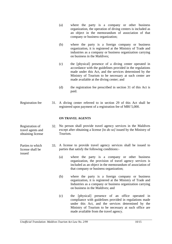|                                                           |     | (a)                                                                                                               | where the party is a company or other business<br>organization, the operation of diving centers is included as<br>an object in the memorandum of association of that<br>company or business organization;                                                                             |  |
|-----------------------------------------------------------|-----|-------------------------------------------------------------------------------------------------------------------|---------------------------------------------------------------------------------------------------------------------------------------------------------------------------------------------------------------------------------------------------------------------------------------|--|
|                                                           |     | (b)                                                                                                               | where the party is a foreign company or business<br>organization, it is registered at the Ministry of Trade and<br>industries as a company or business organization carrying<br>on business in the Maldives;                                                                          |  |
|                                                           |     | (c)                                                                                                               | the [physical] presence of a diving center operated in<br>accordance with the guidelines provided in the regulations<br>made under this Act, and the services determined by the<br>Ministry of Tourism to be necessary at such center are<br>made available at the diving center; and |  |
|                                                           |     | (d)                                                                                                               | the registration fee prescribed in section 31 of this Act is<br>paid.                                                                                                                                                                                                                 |  |
| Registration fee                                          | 31. |                                                                                                                   | A diving center referred to in section 29 of this Act shall be<br>registered upon payment of a registration fee of MRf 5,000.                                                                                                                                                         |  |
|                                                           |     |                                                                                                                   | <b>ON TRAVEL AGENTS</b>                                                                                                                                                                                                                                                               |  |
| Registration of<br>travel agents and<br>obtaining license | 32. | Tourism.                                                                                                          | No person shall provide travel agency services in the Maldives<br>except after obtaining a license [to do so] issued by the Ministry of                                                                                                                                               |  |
| Parties to which<br>license shall be<br>issued            | 33. | A license to provide travel agency services shall be issued to<br>parties that satisfy the following conditions:- |                                                                                                                                                                                                                                                                                       |  |
|                                                           |     | (a)                                                                                                               | where the party is a company or other business<br>organization, the provision of travel agency services is<br>included as an object in the memorandum of association of<br>that company or business organization;                                                                     |  |
|                                                           |     | (b)                                                                                                               | where the party is a foreign company or business<br>organization, it is registered at the Ministry of Trade and<br>Industries as a company or business organization carrying<br>on business in the Maldives; and                                                                      |  |
|                                                           |     | (c)                                                                                                               | the [physical] presence of an office operated in                                                                                                                                                                                                                                      |  |

(c) the [physical] presence of an office operated in compliance with guidelines provided in regulations made under this Act, and the services determined by the Ministry of Tourism to be necessary at such office are made available from the travel agency.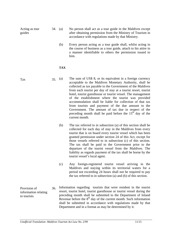Acting as tour guides

- 34. (a) No person shall act as a tour guide in the Maldives except after obtaining permission from the Ministry of Tourism in accordance with regulations made by that Ministry.
	- (b) Every person acting as a tour guide shall, whilst acting in the course of business as a tour guide, attach to his attire in a manner identifiable to others the permission issued to him.

# **TAX**

Tax

- $35.$  (a) The sum of US\$ 8, or its equivalent in a foreign currency acceptable to the Maldives Monetary Authority, shall be collected as tax payable to the Government of the Maldives from each tourist per day of stay at a tourist resort, tourist hotel, tourist guesthouse or tourist vessel. The management of the establishment where the tourist was provided accommodation shall be liable for collection of that tax from tourists and payment of the due amount to the Government. The amount of tax due in respect of the preceding month shall be paid before the  $15<sup>th</sup>$  day of the current month.
	- (b) The tax referred to in subsection (a) of this section shall be collected for each day of stay in the Maldives from every tourist that is on board every tourist vessel which has been granted permission under section 24 of this Act, except for those vessels referred to in subsection (c) of this section. The tax shall be paid to the Government prior to the departure of the tourist vessel from the Maldives. The liability as regards payment of the tax shall be borne by the tourist vessel's local agent.
	- (c) Any foreign-registered tourist vessel arriving in the Maldives and staying within its territorial waters for a period not exceeding 24 hours shall not be required to pay the tax referred to in subsection (a) and (b) of this section.
- Provision of information relating to tourists 36. Information regarding tourists that were resident in the tourist resort, tourist hotel, tourist guesthouse or tourist vessel during the preceding month shall be submitted to the Department of Inland Revenue before the  $8<sup>th</sup>$  day of the current month. Such information shall be submitted in accordance with regulations made by that Department and in a format as may be determined by it.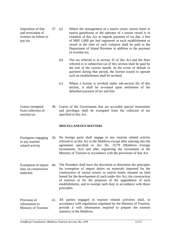Imposition of fine and revocation of licenses on failure to pay tax 37. Where the management of a tourist resort, tourist hotel or tourist guesthouse or the operator of a tourist vessel is in violation of this Act as regards payment of tax due, a fine of MRf 1,000 per bed registered at such establishment or vessel at the time of such violation shall be paid to the Department of Inland Revenue in addition to the payment of overdue tax.

- (b) The tax referred to in section 35 of this Act and the fines referred to in subsection (a) of this section shall be paid by the end of the current month. In the event of default in payment during that period, the license issued to operate such an establishment shall be revoked.
- (c) Where a license is revoked under sub-section (b) of this section, it shall be re-issued upon settlement of the defaulted payment of tax and fine.
- Guests exempted from collection of tourism tax 38. Guests of the Government that are accorded special immunities and privileges shall be exempted from the collected of tax specified in this Act.

# **MISCELLANEOUS MATTERS**

- Foreigners engaging in any tourism related activity 39. No foreign party shall engage in any tourism related activity referred to in this Act in the Maldives except after entering into the agreement specified in Act No. 25/79 (Maldives Foreign Investments Act) and after registering the investment at the Ministry of Tourism in accordance with the provisions of that Act.
- Exemption of import 40. duty on construction materials The President shall have the discretion to determine the principles for exemption of import duties on materials imported for the construction of tourist resorts or tourist hotels situated on land leased for the development of such under this Act, the construction of marinas or for the purposes of the upgradation of such establishments, and to exempt such duty in accordance with those principles.
- Provision of information to Ministry of Tourism. 41. All parties engaged in tourism related activities shall, in accordance with regulations stipulated by the Ministry of Tourism, provide it with information required to prepare the tourism statistics of the Maldives.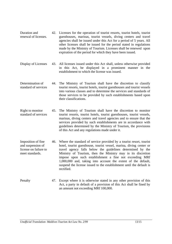- Duration and renewal of licenses. 42. Licenses for the operation of tourist resorts, tourist hotels, tourist guesthouses, marinas, tourist vessels, diving centers and travel agencies shall be issued under this Act for a period of 5 years. All other licenses shall be issued for the period stated in regulations made by the Ministry of Tourism. Licenses shall be renewed upon expiration of the period for which they have been issued.
- Display of Licenses 43. All licenses issued under this Act shall, unless otherwise provided in this Act, be displayed in a prominent manner in the establishment to which the license was issued.
- Determination of standard of services 44. The Ministry of Tourism shall have the discretion to classify tourist resorts, tourist hotels, tourist guesthouses and tourist vessels into various classes and to determine the services and standards of those services to be provided by such establishments based upon their classifications.
- Right to monitor standard of services 45. The Ministry of Tourism shall have the discretion to monitor tourist resorts, tourist hotels, tourist guesthouses, tourist vessels, marinas, diving centers and travel agencies and to ensure that the services provided by such establishments are in accordance with guidelines determined by the Ministry of Tourism, the provisions of this Act and any regulations made under it.
- Imposition of fine and suspension of license on failure to meet standards. 46. Where the standard of service provided by a tourist resort, tourist hotel, tourist guesthouse, tourist vessel, marina, diving center or travel agency falls below the guidelines determined by the Ministry of Tourism, then the Ministry may in its discretion impose upon such establishment a fine not exceeding MRf 1,000,000 and, taking into account the extent of the default, suspend the license issued to the establishment until the default is rectified.
- Penalty 47. Except where it is otherwise stated in any other provision of this Act, a party in default of a provision of this Act shall be fined by an amount not exceeding MRf 100,000.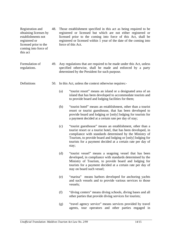| Registration and<br>obtaining licenses by<br>establishments not<br>registered or<br>licensed prior to the<br>coming into force of<br>this act | 48. | Those establishment specified in this act as being required to be<br>registered or licensed but which are not either registered or<br>licensed prior to the coming into force of this Act, shall be<br>registered or licensed within 1 year of the date of the coming into<br>force of this Act. |                                                                                                                                                                                                                                                                                                                               |  |
|-----------------------------------------------------------------------------------------------------------------------------------------------|-----|--------------------------------------------------------------------------------------------------------------------------------------------------------------------------------------------------------------------------------------------------------------------------------------------------|-------------------------------------------------------------------------------------------------------------------------------------------------------------------------------------------------------------------------------------------------------------------------------------------------------------------------------|--|
| Formulation of<br>regulations.                                                                                                                | 49. |                                                                                                                                                                                                                                                                                                  | Any regulations that are required to be made under this Act, unless<br>specified otherwise, shall be made and enforced by a party<br>determined by the President for such purpose.                                                                                                                                            |  |
| Definitions                                                                                                                                   | 50. |                                                                                                                                                                                                                                                                                                  | In this Act, unless the context otherwise requires:-                                                                                                                                                                                                                                                                          |  |
|                                                                                                                                               |     | (a)                                                                                                                                                                                                                                                                                              | "tourist resort" means an island or a designated area of an<br>island that has been developed to accommodate tourists and<br>to provide board and lodging facilities for them;                                                                                                                                                |  |
|                                                                                                                                               |     | (b)                                                                                                                                                                                                                                                                                              | "tourist hotel" means an establishment, other than a tourist<br>resort or tourist guesthouse, that has been developed to<br>provide board and lodging or [only] lodging for tourists for<br>a payment decided at a certain rate per day of stay;                                                                              |  |
|                                                                                                                                               |     | (c)                                                                                                                                                                                                                                                                                              | "tourist guesthouse" means an establishment, other than a<br>tourist resort or a tourist hotel, that has been developed, in<br>compliance with standards determined by the Ministry of<br>Tourism, to provide board and lodging or [only] lodging for<br>tourists for a payment decided at a certain rate per day of<br>stay; |  |
|                                                                                                                                               |     | (d)                                                                                                                                                                                                                                                                                              | "tourist vessel" means a seagoing vessel that has been<br>developed, in compliance with standards determined by the<br>Ministry of Tourism, to provide board and lodging for<br>tourists for a payment decided at a certain rate per day of<br>stay on board such vessel;                                                     |  |
|                                                                                                                                               |     | (e)                                                                                                                                                                                                                                                                                              | "marina" means harbors developed for anchoring yachts<br>and such vessels and to provide various services to those<br>vessels;                                                                                                                                                                                                |  |
|                                                                                                                                               |     | (f)                                                                                                                                                                                                                                                                                              | "diving centers" means diving schools, diving bases and all<br>other parties that provide diving services for tourists;                                                                                                                                                                                                       |  |
|                                                                                                                                               |     | (g)                                                                                                                                                                                                                                                                                              | "travel agency service" means services provided by travel<br>agents, tour operators and other parties engaged in                                                                                                                                                                                                              |  |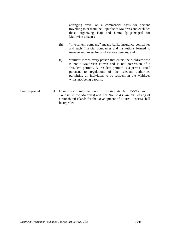arranging travel on a commercial basis for persons travelling to or from the Republic of Maldives and excludes those organizing Hajj and Umra [pilgrimages] for Maldivian citizens;

- (h) "investment company" means bank, insurance companies and such financial companies and institutions formed to manage and invest funds of various persons; and
- (i) "tourist" means every person that enters the Maldives who is not a Maldivian citizen and is not possession of a "resident permit". A 'resident permit" is a permit issued pursuant to regulations of the relevant authorities permitting an individual to be resident in the Maldives whilst not being a tourist.
- Laws repealed 51. Upon the coming into force of this Act, Act No. 15/79 (Law on Tourism in the Maldives) and Act No. 3/94 (Law on Leasing of Uninhabited Islands for the Development of Tourist Resorts) shall be repealed.